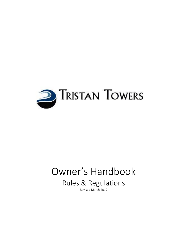

# Owner's Handbook

Rules & Regulations

Revised March 2019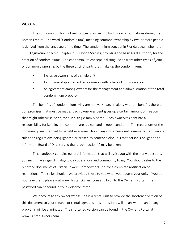#### WELCOME

The condominium form of real property ownership had its early foundations during the Roman Empire. The word "Condominium", meaning common ownership by two or more people, is derived from the language of the time. The condominium concept in Florida began when the 1963 Legislature enacted Chapter 718, Florida Statues, providing the basic legal authority for the creation of condominiums. The condominium concept is distinguished from other types of joint or common ownership by the three distinct parts that make up the condominium:

- Exclusive ownership of a single unit;
- Joint ownership as tenants-in-common with others of common areas;
- An agreement among owners for the management and administration of the total condominium property.

The benefits of condominium living are many. However, along with the benefits there are compromises that must be made. Each owner/resident gives up a certain amount of freedom that might otherwise be enjoyed in a single-family home. Each owner/resident has a responsibility for keeping the common areas clean and in good condition. The regulations of the community are intended to benefit everyone. Should any owner/resident observe Tristan Towers rules and regulations being ignored or broken by someone else, it is that person's obligation to inform the Board of Directors so that proper action(s) may be taken.

This handbook contains general information that will assist you with the many questions you might have regarding day-to-day operations and community living. You should refer to the recorded documents of Tristan Towers Homeowners, Inc. for a complete notification of restrictions. The seller should have provided these to you when you bought your unit. If you do not have them, please visit [www.TristanOwners.com](http://www.tristanowners.com/) and login to the Owner's Portal. The password can be found in your welcome letter.

We encourage any owner whose unit is a rental unit to provide the shortened version of this document to your tenants or rental agent, as most questions will be answered, and many problems will be eliminated. The shortened version can be found in the Owner's Portal at [www.TristanOwners.com.](http://www.tristanowners.com/)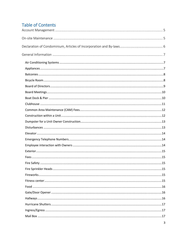## **Table of Contents**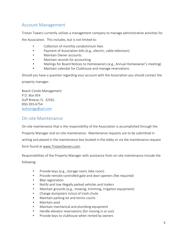## <span id="page-4-0"></span>Account Management

Tristan Towers currently utilizes a management company to manage administrative activities for

the Association. This includes, but is not limited to:

- Collection of monthly condominium fees
- Payment of Association bills (e.g., electric, cable television)
- Maintain Owner accounts
- Maintain records for accounting
- Mailings for Board Notices to Homeowners (e.g., Annual Homeowner's meeting)
- Maintain calendar for Clubhouse and manage reservations

Should you have a question regarding your account with the Association you should contact the property manager.

Beach Condo Management P.O. Box 954 Gulf Breeze, FL 32561 850-393-6754 [watsonlgp@aol.com](mailto:watsonlgp@aol.com)

## <span id="page-4-1"></span>On-site Maintenance

On-site maintenance that is the responsibility of the Association is accomplished through the Property Manager and on-site maintenance. Maintenance requests are to be submitted in writing and placed in the maintenance box located in the lobby or via the maintenance request

form found at www.TristanOwners.com.

Responsibilities of the Property Manager with assistance from on-site maintenance include the

following:

- Provide keys (e.g., storage room, bike room)
- Provide remote-controlled gate and door openers (fee required)
- Bike registration
- Notify and tow illegally parked vehicles and trailers
- Maintain grounds (e.g., mowing, trimming, irrigation equipment)
- Change dumpsters in/out of trash chute
- Maintain parking lot and tennis courts
- Maintain pool
- Maintain mechanical and plumbing equipment
- Handle elevator reservations (for moving in or out)
- Provide keys to clubhouse when rented by owners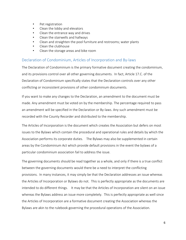- Pet registration
- Clean the lobby and elevators
- Clean the entrance way and drives
- Clean the stairwells and hallways
- Clean and straighten the pool furniture and restrooms; water plants
- Clean the clubhouse
- Clean the storage areas and bike room

#### <span id="page-5-0"></span>Declaration of Condominium, Articles of Incorporation and By-laws

The Declaration of Condominium is the primary formative document creating the condominium, and its provisions control over all other governing documents. In fact, Article 17.C. of the Declaration of Condominium specifically states that the Declaration controls over any other conflicting or inconsistent provisions of other condominium documents.

If you want to make any changes to the Declaration, an amendment to the document must be made. Any amendment must be voted on by the membership. The percentage required to pass an amendment will be specified in the Declaration or By-laws. Any such amendment must be recorded with the County Recorder and distributed to the membership.

The Articles of Incorporation is the document which creates the Association but defers on most issues to the Bylaws which contain the procedural and operational rules and details by which the Association performs its corporate duties. The Bylaws may also be supplemented in certain areas by the Condominium Act which provide default provisions in the event the bylaws of a particular condominium association fail to address the issue.

The governing documents should be read together as a whole, and only if there is a true conflict between the governing documents would there be a need to interpret the conflicting provisions. In many instances, it may simply be that the Declaration addresses an issue whereas the Articles of Incorporation or Bylaws do not. This is perfectly appropriate as the documents are intended to do different things. It may be that the Articles of Incorporation are silent on an issue whereas the Bylaws address an issue more completely. This is perfectly appropriate as well since the Articles of Incorporation are a formative document creating the Association whereas the Bylaws are akin to the rulebook governing the procedural operations of the Association.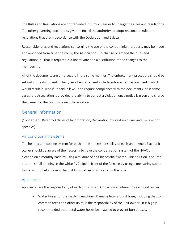The Rules and Regulations are not recorded. It is much easier to change the rules and regulations. The other governing documents give the Board the authority to adopt reasonable rules and regulations that are in accordance with the Declaration and Bylaws.

Reasonable rules and regulations concerning the use of the condominium property may be made and amended from time to time by the Association. To change or amend the rules and regulations, all that is required is a Board vote and a distribution of the changes to the membership.

All of the documents are enforceable in the same manner. The enforcement procedure should be set out in the documents. The types of enforcement include enforcement assessments, which would result in liens if unpaid; a lawsuit to require compliance with the documents, or in some cases, the Association is provided the ability to correct a violation once notice is given and charge the owner for the cost to correct the violation.

## <span id="page-6-0"></span>General Information

(Condensed: Refer to Articles of Incorporation, Declaration of Condominiums and By-Laws for specifics)

#### <span id="page-6-1"></span>Air Conditioning Systems

The heating and cooling system for each unit is the responsibility of each unit owner. Each unit owner should be aware of the necessity to have the condensation system of the HVAC unit cleaned on a monthly basis by using a mixture of half bleach/half water. This solution is poured into the small opening in the white PVC pipe in front of the furnace by using a measuring cup or funnel and to help prevent the buildup of algae which can clog the pipe.

#### <span id="page-6-2"></span>Appliances

Appliances are the responsibility of each unit owner. Of particular interest to each unit owner:

• Water hoses for the washing machine. Damage from a burst hose, including that to common areas and other units, is the responsibility of the unit owner. It is highly recommended that metal water hoses be installed to prevent burst hoses.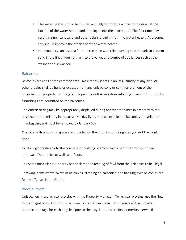- The water heater should be flushed annually by hooking a hose to the drain at the bottom of the water heater and draining it into the nearest tub. The first time may result in significant sand and other debris draining from the water heater. As a bonus, this should improve the efficiency of the water heater.
- Homeowners can install a filter on the main water line coming into the unit to prevent sand in the lines from getting into the valves and pumps of appliances such as the washer or dishwasher.

#### <span id="page-7-0"></span>**Balconies**

Balconies are considered common area. No clothes, sheets, blankets, laundry of any kind, or other articles shall be hung or exposed from any unit balcony or common element of the condominium property. No bicycles, carpeting or other moisture retaining coverings or unsightly furnishings are permitted on the balconies.

The American flag may be appropriately displayed during appropriate times in accord with the large number of military in the area. Holiday lights may be installed on balconies no earlier than Thanksgiving and must be removed by January 6th.

Charcoal grills and picnic space are provided on the grounds to the right as you exit the front door.

No drilling or fastening to the concrete or building of any object is permitted without board approval. This applies to walls and floors.

The Santa Rosa Island Authority has declared the feeding of fowl from the balconies to be illegal.

Throwing items off walkways or balconies, climbing on balconies, and hanging over balconies are felony offenses in the Florida.

#### <span id="page-7-1"></span>Bicycle Room

Unit owners must register bicycles with the Property Manager. To register bicycles, use the New Owner Registration Form found a[t www.TristanOwners.com.](http://www.tristanowners.com/) Unit owners will be provided identification tags for each bicycle. Spots in the bicycle rooms are first come/first serve. If all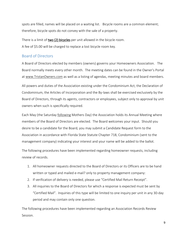spots are filled, names will be placed on a waiting list. Bicycle rooms are a common element; therefore, bicycle spots do not convey with the sale of a property.

There is a limit of two (2) bicycles per unit allowed in the bicycle room. A fee of \$5.00 will be charged to replace a lost bicycle room key.

#### <span id="page-8-0"></span>Board of Directors

A Board of Directors elected by members (owners) governs your Homeowners Association. The Board normally meets every other month. The meeting dates can be found in the Owner's Portal at [www.TristanOwners.com](http://www.tristanowners.com/) as well as a listing of agendas, meeting minutes and board members.

All powers and duties of the Association existing under the Condominium Act, the Declaration of Condominium, the Articles of Incorporation and the By-laws shall be exercised exclusively by the Board of Directors, through its agents, contractors or employees, subject only to approval by unit owners when such is specifically required.

Each May (the Saturday following Mothers Day) the Association holds its Annual Meeting where members of the Board of Directors are elected. The Board welcomes your input. Should you desire to be a candidate for the Board, you may submit a Candidate Request form to the Association in accordance with Florida State Statute Chapter 718, Condominium (sent to the management company) indicating your interest and your name will be added to the ballot.

The following procedures have been implemented regarding homeowner requests, including review of records.

- 1. All homeowner requests directed to the Board of Directors or its Officers are to be hand written or typed and mailed e-mail? only to property management company:
- 2. If verification of delivery is needed, please use "Certified Mail Return Receipt".
- 3. All inquiries to the Board of Directors for which a response is expected must be sent by "Certified Mail". Inquiries of this type will be limited to one inquiry per unit in any 30-day period and may contain only one question.

The following procedures have been implemented regarding an Association Records Review Session.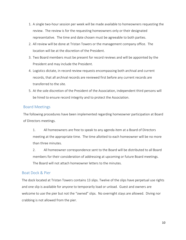- 1. A single two-hour session per week will be made available to homeowners requesting the review. The review is for the requesting homeowners only or their designated representative. The time and date chosen must be agreeable to both parties.
- 2. All review will be done at Tristan Towers or the management company office. The location will be at the discretion of the President.
- 3. Two Board members must be present for record reviews and will be appointed by the President and may include the President.
- 4. Logistics dictate, in record review requests encompassing both archival and current records, that all archival records are reviewed first before any current records are transferred to the site.
- 5. At the sole discretion of the President of the Association, independent third persons will be hired to ensure record integrity and to protect the Association.

#### <span id="page-9-0"></span>Board Meetings

The following procedures have been implemented regarding homeowner participation at Board of Directors meetings.

1. All homeowners are free to speak to any agenda item at a Board of Directors meeting at the appropriate time. The time allotted to each homeowner will be no more than three minutes.

2. All homeowner correspondence sent to the Board will be distributed to all Board members for their consideration of addressing at upcoming or future Board meetings. The Board will not attach homeowner letters to the minutes.

#### <span id="page-9-1"></span>Boat Dock & Pier

The dock located at Tristan Towers contains 13 slips. Twelve of the slips have perpetual use rights and one slip is available for anyone to temporarily load or unload. Guest and owners are welcome to use the pier but not the "owned" slips. No overnight stays are allowed. Diving nor crabbing is not allowed from the pier.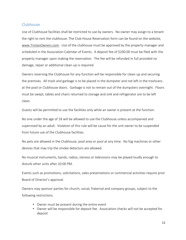#### <span id="page-10-0"></span>Clubhouse

Use of Clubhouse facilities shall be restricted to use by owners. No owner may assign to a tenant the right to rent the clubhouse. The Club House Reservation form can be found on the website, [www.TristanOwners.com.](http://www.tristanowners.com/) Use of the clubhouse must be approved by the property manager and scheduled in the Association Calendar of Events. A deposit fee of \$200.00 must be filed with the property manager upon making the reservation. The fee will be refunded in full provided no damage, repair or additional clean-up is required.

Owners reserving the Clubhouse for any function will be responsible for clean-up and securing the premises. All trash and garbage is to be placed in the dumpster and not left in the trashcans at the pool or Clubhouse doors. Garbage is not to remain out of the dumpsters overnight. Floors must be swept, tables and chairs returned to storage and sink and refrigerator are to be left clean.

Guests will be permitted to use the facilities only while an owner is present at the function.

No one under the age of 18 will be allowed to use the Clubhouse unless accompanied and supervised by an adult. Violation of this rule will be cause for the unit owner to be suspended from future use of the Clubhouse facilities.

No pets are allowed in the Clubhouse, pool area or pool at any time. No fog machines or other devices that may trip the smoke detectors are allowed.

No musical instruments, bands, radios, stereos or televisions may be played loudly enough to disturb other units after 10:00 PM.

Events such as promotions, solicitations, sales presentations or commercial activities require prior Board of Director's approval.

Owners may sponsor parties for church, social, fraternal and company groups, subject to the following restrictions.

- Owner must be present during the entire event
- Owner will be responsible for deposit fee. Association checks will not be accepted for deposit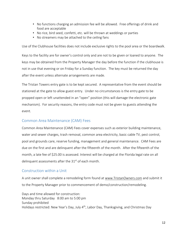- No functions charging an admission fee will be allowed. Free offerings of drink and food are acceptable
- No rice, bird seed, confetti, etc. will be thrown at weddings or parties
- No streamers may be attached to the ceiling fans

Use of the Clubhouse facilities does not include exclusive rights to the pool area or the boardwalk.

Keys to the facility are for owner's control only and are not to be given or loaned to anyone. The keys may be obtained from the Property Manager the day before the function if the clubhouse is not in use that evening or on Friday for a Sunday function. The key must be returned the day after the event unless alternate arrangements are made.

The Tristan Towers entry gate is to be kept secured. A representative from the event should be stationed at the gate to allow guest entry. Under no circumstances is the entry gate to be propped open or left unattended in an "open" position (this will damage the electronic gate mechanism). For security reasons, the entry code must not be given to guests attending the event.

#### <span id="page-11-0"></span>Common Area Maintenance (CAM) Fees

Common Area Maintenance (CAM) Fees cover expenses such as exterior building maintenance, water and sewer charges, trash removal, common area electricity, basic cable TV, pest control, pool and grounds care, reserve funding, management and general maintenance. CAM Fees are due on the first and are delinquent after the fifteenth of the month. After the fifteenth of the month, a late fee of \$25.00 is assessed. Interest will be charged at the Florida legal rate on all delinquent assessments after the 31<sup>st</sup> of each month.

#### <span id="page-11-1"></span>Construction within a Unit

A unit owner shall complete a remodeling form found at www.TristanOwners.com and submit it to the Property Manager prior to commencement of demo/construction/remodeling.

Days and time allowed for construction: Monday thru Saturday 8:00 am to 5:00 pm Sunday prohibited Holidays restricted: New Year's Day, July 4<sup>th</sup>, Labor Day, Thanksgiving, and Christmas Day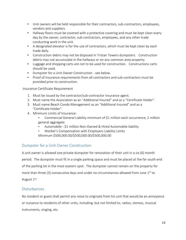- Unit owners will be held responsible for their contractors, sub-contractors, employees, vendors and suppliers.
- Hallway floors must be covered with a protective covering and must be kept clean every day by the owner, contractor, sub-contractors, employees, and any other trade conducting work in the unit.
- A designated elevator is for the use of contractors, which must be kept clean by each trade daily.
- Construction debris may not be disposed in Tristan Towers dumpsters. Construction debris may not accumulate in the hallways or on any common area property.
- Luggage and shopping carts are not to be used for construction. Constructions carts should be used.
- Dumpster for a Unit Owner Construction see below.
- Proof of Insurance requirements from all contractors and sub-contractors must be provided prior to construction.

Insurance Certificate Requirement

- 1. Must be issued by the contractor/sub-contractor insurance agent.
- 2. Must name the Association as an "Additional Insured" and as a "Certificate Holder".
- 3. Must name Beach Condo Management as an "Additional Insured" and as a "Certificate Holder".
- 4. Minimum Limits of Insurance:
	- Commercial General Liability minimum of \$1 million each occurrence, 2 million general aggregate
	- Automobile \$1 million Non-Owned & Hired Automobile liability
	- Worker's Compensation with Employers Liability Limits Minimum \$500,000.00/\$500,000.00/\$500,000.00

#### <span id="page-12-0"></span>Dumpster for a Unit Owner Construction

A unit owner is allowed one private dumpster for renovation of their unit in a six (6) month period. The dumpster must fit in a single parking space and must be placed at the far south end of the parking lot in the most eastern spot. The dumpster cannot remain on the property for more than three (3) consecutive days and under no circumstances allowed from June  $1<sup>st</sup>$  to August 1<sup>st</sup>.

#### <span id="page-12-1"></span>**Disturbances**

No resident or guest shall permit any noise to originate from his unit that would be an annoyance or nuisance to residents of other units, including, but not limited to, radios, stereos, musical instruments, singing, etc.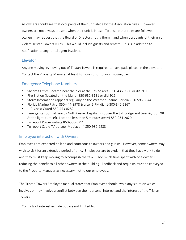All owners should see that occupants of their unit abide by the Association rules. However, owners are not always present when their unit is in use. To ensure that rules are followed, owners may request that the Board of Directors notify them if and when occupants of their unit violate Tristan Towers Rules. This would include guests and renters. This is in addition to notification to any rental agent involved.

#### <span id="page-13-0"></span>Elevator

Anyone moving in/moving out of Tristan Towers is required to have pads placed in the elevator. Contact the Property Manager at least 48 hours prior to your moving day.

## <span id="page-13-1"></span>Emergency Telephone Numbers

- Sheriff's Office (located near the pier at the Casino area) 850-436-9650 or dial 911
- Fire Station (located on the island) 850-932-3131 or dial 911
- Storm Information (appears regularly on the Weather Channel) or dial 850-595-3344
- Florida Marine Patrol 850-444-8978 & after 5 PM dial 1-800-342-5367
- U.S. Coast Guard 850-453-8282
- Emergency room at nearby Gulf Breeze Hospital (just over the toll bridge and turn right on 98. At the light, turn left. Location less than 5 minutes away) 850-934-2020
- To report Power outage 850-505-5711
- To report Cable TV outage (Mediacom) 850-932-9233

#### <span id="page-13-2"></span>Employee interaction with Owners

Employees are expected be kind and courteous to owners and guests. However, some owners may wish to visit for an extended period of time. Employees are to explain that they have work to do and they must keep moving to accomplish the task. Too much time spent with one owner is reducing the benefit to all other owners in the building. Feedback and requests must be conveyed to the Property Manager as necessary, not to our employees.

The Tristan Towers Employee manual states that Employees should avoid any situation which involves or may involve a conflict between their personal interest and the interest of the Tristan Towers.

Conflicts of interest include but are not limited to: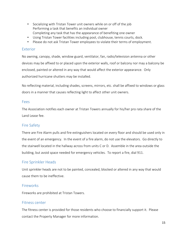- Socializing with Tristan Tower unit owners while on or off of the job Performing a task that benefits an individual owner Completing any task that has the appearance of benefiting one owner
- Using Tristan Tower facilities including pool, clubhouse, tennis courts, dock.
- Please do not ask Tristan Tower employees to violate their terms of employment.

#### <span id="page-14-0"></span>Exterior

No awning, canopy, shade, window guard, ventilator, fan, radio/television antenna or other devices may be affixed to or placed upon the exterior walls, roof or balcony nor may a balcony be enclosed, painted or altered in any way that would affect the exterior appearance. Only authorized hurricane shutters may be installed.

No reflecting material, including shades, screens, mirrors, etc. shall be affixed to windows or glass doors in a manner that causes reflecting light to affect other unit owners.

#### <span id="page-14-1"></span>Fees

The Association notifies each owner at Tristan Towers annually for his/her pro rata share of the Land Lease fee.

#### <span id="page-14-2"></span>Fire Safety

There are Fire Alarm pulls and fire extinguishers located on every floor and should be used only in the event of an emergency. In the event of a fire alarm, do not use the elevators. Go directly to the stairwell located in the hallway across from units C or D. Assemble in the area outside the building, but avoid space needed for emergency vehicles. To report a fire, dial 911.

#### <span id="page-14-3"></span>Fire Sprinkler Heads

Unit sprinkler heads are not to be painted, concealed, blocked or altered in any way that would cause them to be ineffective.

#### <span id="page-14-4"></span>Fireworks

Fireworks are prohibited at Tristan Towers.

#### <span id="page-14-5"></span>Fitness center

The fitness center is provided for those residents who choose to financially support it. Please contact the Property Manager for more information.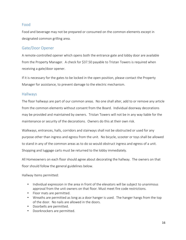#### <span id="page-15-0"></span>Food

Food and beverage may not be prepared or consumed on the common elements except in designated common grilling area.

#### <span id="page-15-1"></span>Gate/Door Opener

A remote-controlled opener which opens both the entrance gate and lobby door are available from the Property Manager. A check for \$37.50 payable to Tristan Towers is required when receiving a gate/door opener.

If it is necessary for the gates to be locked in the open position, please contact the Property Manager for assistance, to prevent damage to the electric mechanism.

#### <span id="page-15-2"></span>Hallways

The floor hallways are part of our common areas. No one shall alter, add to or remove any article from the common elements without consent from the Board. Individual doorway decorations may be provided and maintained by owners. Tristan Towers will not be in any way liable for the maintenance or security of the decorations. Owners do this at their own risk.

Walkways, entrances, halls, corridors and stairways shall not be obstructed or used for any purpose other than ingress and egress from the unit. No bicycle, scooter or toys shall be allowed to stand in any of the common areas as to do so would obstruct ingress and egress of a unit. Shopping and luggage carts must be returned to the lobby immediately.

All Homeowners on each floor should agree about decorating the hallway. The owners on that floor should follow the general guidelines below.

Hallway Items permitted:

- Individual expression in the area in front of the elevators will be subject to unanimous approval from the unit owners on that floor. Must meet fire code restrictions.
- Floor mats are permitted.
- Wreaths are permitted as long as a door hanger is used. The hanger hangs from the top of the door. No nails are allowed in the doors.
- Doorbells are permitted.
- Doorknockers are permitted.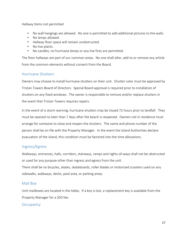Hallway Items not permitted

- No wall hangings are allowed. No one is permitted to add additional pictures to the walls.
- No lamps allowed.
- Hallway floor space will remain unobstructed.
- No live plants.
- No candles, no hurricane lamps or any live fires are permitted.

The floor hallways are part of our common areas. No one shall alter, add to or remove any article from the common elements without consent from the Board.

#### <span id="page-16-0"></span>Hurricane Shutters

Owners may choose to install hurricane shutters on their unit. Shutter color must be approved by Tristan Towers Board of Directors. Special Board approval is required prior to installation of shutters on any fixed windows. The owner is responsible to remove and/or replace shutters in the event that Tristan Towers requires repairs.

In the event of a storm warning, hurricane shutters may be closed 72 hours prior to landfall. They must be opened no later than 7 days after the beach is reopened. Owners not in residence must arrange for someone to close and reopen the shutters. The name and phone number of the person shall be on file with the Property Manager. In the event the Island Authorities declare evacuation of the island, this condition must be factored into the time allocations.

#### <span id="page-16-1"></span>Ingress/Egress

Walkways, entrances, halls, corridors, stairways, ramps and rights-of-ways shall not be obstructed or used for any purpose other than ingress and egress from the unit. There shall be no bicycles, skates, skateboards, roller blades or motorized scooters used on any

sidewalks, walkways, decks, pool area, or parking areas.

#### <span id="page-16-2"></span>Mail Box

Unit mailboxes are located in the lobby. If a key is lost, a replacement key is available from the Property Manager for a \$50 fee.

#### **Occupancy**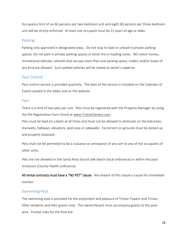Occupancy limit of six (6) persons per two-bedroom unit and eight (8) persons per three-bedroom unit will be strictly enforced. At least one occupant must be 21 years of age or older.

#### <span id="page-17-0"></span>Parking

Parking only approved in designated areas. Do not stop to load or unload in private parking spaces. Do not park in private parking spaces or block fire or loading zones. NO motor homes, recreational vehicles, vehicles that occupy more than one parking space, trailers and/or boats of any kind are allowed. Such parked vehicles will be towed at owner's expense.

#### <span id="page-17-1"></span>Pest Control

Pest control service is provided quarterly. The date of the service is included on the Calendar of Events posted in the lobby and on the website.

#### <span id="page-17-2"></span>Pets

There is a limit of two pets per unit. Pets must be registered with the Property Manager by using the Pet Registration Form found at www.TristanOwners.com.

Pets must be kept on a leash at all times and must not be allowed to eliminate on the balconies, stairwells, hallways, elevators, pool area or sidewalks. Excrement on grounds must be picked up and properly disposed.

Pets shall not be permitted to be a nuisance or annoyance of any sort to any of the occupants of other units.

Pets are not allowed on the Santa Rosa Sound side beach (local ordinance) or within the pool enclosure (County Health ordinance).

All rental contracts must have a "NO PET" clause. Any breach of this clause is cause for immediate eviction.

#### <span id="page-17-3"></span>Swimming Pool

The swimming pool is provided for the enjoyment and pleasure of Tristan Towers and Tristan Villas residents and their guests only. The owner/tenant must accompany guests to the pool area. Posted rules for the Pool are: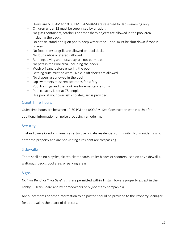- Hours are 6:00 AM to 10:00 PM. 6AM-8AM are reserved for lap swimming only
- Children under 12 must be supervised by an adult
- No glass containers, seashells or other sharp objects are allowed in the pool area, including the decks
- Do not sit, stand or tug on pool's deep-water rope pool must be shut down if rope is broken
- No food items or grills are allowed on pool decks
- No loud radios or stereos allowed
- Running, diving and horseplay are not permitted
- No pets in the Pool area, including the decks
- Wash off sand before entering the pool
- Bathing suits must be worn. No cut-off shorts are allowed
- No diapers are allowed in the pool
- Lap swimmers must replace ropes for safety
- Pool life rings and the hook are for emergencies only.
- Pool capacity is set at 78 people.
- Use pool at your own risk no lifeguard is provided.

#### <span id="page-18-0"></span>Quiet Time Hours

Quiet time hours are between 10:30 PM and 8:00 AM. See Construction within a Unit for

additional information on noise producing remodeling.

#### <span id="page-18-1"></span>**Security**

Tristan Towers Condominium is a restrictive private residential community. Non-residents who enter the property and are not visiting a resident are trespassing.

#### <span id="page-18-2"></span>**Sidewalks**

There shall be no bicycles, skates, skateboards, roller blades or scooters used on any sidewalks, walkways, decks, pool area, or parking areas.

#### <span id="page-18-3"></span>**Signs**

No "For Rent" or '"For Sale" signs are permitted within Tristan Towers property except in the Lobby Bulletin Board and by homeowners only (not realty companies).

Announcements or other information to be posted should be provided to the Property Manager for approval by the board of directors.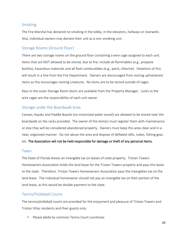#### <span id="page-19-0"></span>Smoking

The Fire Marshal has declared no smoking in the lobby, in the elevators, hallways or stairwells. Also, individual owners may declare their unit as a non-smoking unit.

### <span id="page-19-1"></span>Storage Rooms (Ground Floor)

There are two storage rooms on the ground floor containing a wire cage assigned to each unit. Items that are NOT allowed to be stored, due to fire, include all flammables (e.g., propane bottles), hazardous materials and all flash combustibles (e.g., paint, chlorine). Violations of this will result in a fine from the Fire Department. Owners are discouraged from storing upholstered items as this encourages nesting creatures. No items are to be stored outside of cages.

Keys to the outer Storage Room doors are available from the Property Manager. Locks to the wire cages are the responsibility of each unit owner.

#### <span id="page-19-2"></span>Storage under the Boardwalk Area

Canoes, Kayaks and Paddle Boards (no motorized water vessel) are allowed to be stored near the boardwalk on the racks provided. The owner of the item(s) must register them with maintenance or else they will be considered abandoned property. Owners must keep this area clean and in a neat, organized manner. Do not abuse the area and dispose of deflated rafts, tubes, fishing gear, etc. The Association will not be held responsible for damage or theft of any personal items.

#### <span id="page-19-3"></span>Taxes

The State of Florida levees an intangible tax on leases of state property. Tristan Towers Homeowners Association holds the land lease for the Tristan Towers property and pays this lease to the state. Therefore, Tristan Towers Homeowners Association pays the intangibles tax on the land lease. The individual homeowner should not pay an intangible tax on their portion of the land lease, as this would be double payment to the state.

#### <span id="page-19-4"></span>Tennis/Pickleball Courts

The tennis/pickleball courts are provided for the enjoyment and pleasure of Tristan Towers and Tristan Villas residents and their guests only.

• Please abide by common Tennis Court courtesies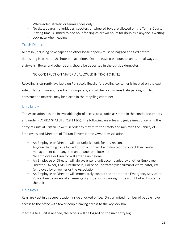- White-soled athletic or tennis shoes only
- No skateboards, rollerblades, scooters or wheeled toys are allowed on the Tennis Courts
- Playing time is limited to one hour for singles or two hours for doubles if anyone is waiting
- Lock gate when leaving

#### <span id="page-20-0"></span>Trash Disposal

All trash (including newspaper and other loose papers) must be bagged and tied before depositing into the trash chute on each floor. Do not leave trash outside units, in hallways or stairwells. Boxes and other debris should be deposited in the outside dumpster.

NO CONSTRUCTION MATERIAL ALLOWED IN TRASH CHUTES.

Recycling is currently available on Pensacola Beach. A recycling container is located on the east side of Tristan Towers, near trash dumpsters, and at the Fort Pickens Gate parking lot. No construction material may be placed in the recycling container.

#### <span id="page-20-1"></span>Unit Entry

The Association has the irrevocable right of access to all units as stated in the condo documents and under FLORIDA STATUTE 718.111(5). The following are rules and guidelines concerning the entry of units at Tristan Towers in order to maximize the safety and minimize the liability of Employees and Directors of Tristan Towers Home Owners Association.

- An Employee or Director will not unlock a unit for any reason.
- Anyone claiming to be locked out of a unit will be instructed to contact their rental management company, the unit owner or a locksmith.
- No Employee or Director will enter a unit alone.
- An Employee or Director will always enter a unit accompanied by another Employee, Director, Owner, EMS, Fire/Rescue, Police or Contractor/Repairman/Exterminator, etc (employed by an owner or the Association).
- An Employee or Director will immediately contact the appropriate Emergency Service or Police if made aware of an emergency situation occurring inside a unit but will not enter the unit.

#### <span id="page-20-2"></span>Unit Keys

Keys are kept in a secure location inside a locked office. Only a limited number of people have access to the office with fewer people having access to the key lock box.

If access to a unit is needed, the access will be logged on the unit entry log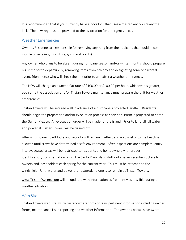It is recommended that if you currently have a door lock that uses a master key, you rekey the lock. The new key must be provided to the association for emergency access.

#### <span id="page-21-0"></span>Weather Emergencies

Owners/Residents are responsible for removing anything from their balcony that could become mobile objects (e.g., furniture, grills, and plants).

Any owner who plans to be absent during hurricane season and/or winter months should prepare his unit prior to departure by removing items from balcony and designating someone (rental agent, friend, etc.) who will check the unit prior to and after a weather emergency.

The HOA will charge an owner a flat rate of \$100.00 or \$100.00 per hour, whichever is greater, each time the association and/or Tristan Towers maintenance must prepare the unit for weather emergencies.

Tristan Towers will be secured well in advance of a hurricane's projected landfall. Residents should begin the preparation and/or evacuation process as soon as a storm is projected to enter the Gulf of Mexico. An evacuation order will be made for the island. Prior to landfall, all water and power at Tristan Towers will be turned off.

After a hurricane, roadblocks and security will remain in effect and no travel onto the beach is allowed until crews have determined a safe environment. After inspections are complete, entry into evacuated areas will be restricted to residents and homeowners with proper identification/documentation only. The Santa Rosa Island Authority issues re-enter stickers to owners and leaseholders each spring for the current year. This must be attached to the windshield. Until water and power are restored, no one is to remain at Tristan Towers.

[www.TristanOwenrs.com](http://www.tristanowenrs.com/) will be updated with information as frequently as possible during a weather situation.

#### <span id="page-21-1"></span>Web Site

Tristan Towers web site, [www.tristanowners.com](http://www.tristanowners.com/) contains pertinent information including owner forms, maintenance issue reporting and weather information. The owner's portal is password